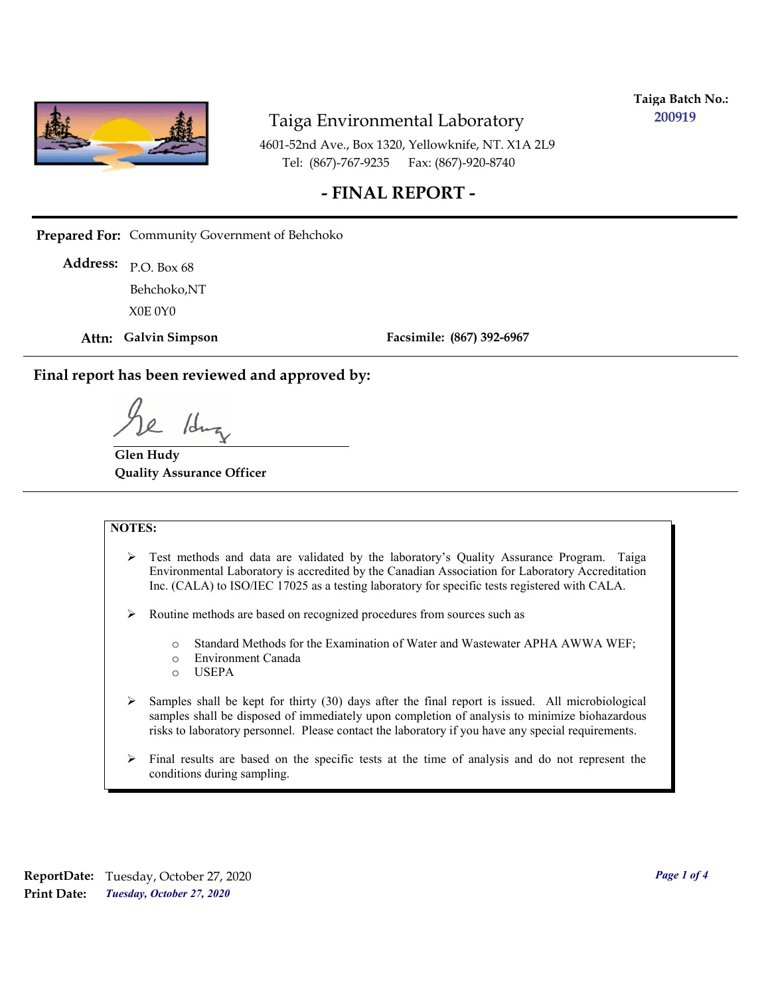

**Taiga Batch No.: 200919**

4601-52nd Ave., Box 1320, Yellowknife, NT. X1A 2L9 Tel: (867)-767-9235 Fax: (867)-920-8740

#### **- FINAL REPORT -**

**Prepared For:** Community Government of Behchoko

P.O. Box 68 **Address:** X0E 0Y0 Behchoko,NT

**Attn: Galvin Simpson**

**Facsimile: (867) 392-6967**

**Final report has been reviewed and approved by:**

1dr

**Glen Hudy Quality Assurance Officer**

#### **NOTES:**

- $\triangleright$  Test methods and data are validated by the laboratory's Quality Assurance Program. Taiga Environmental Laboratory is accredited by the Canadian Association for Laboratory Accreditation Inc. (CALA) to ISO/IEC 17025 as a testing laboratory for specific tests registered with CALA.
- Routine methods are based on recognized procedures from sources such as
	- o Standard Methods for the Examination of Water and Wastewater APHA AWWA WEF;
	- o Environment Canada
	- o USEPA
- $\triangleright$  Samples shall be kept for thirty (30) days after the final report is issued. All microbiological samples shall be disposed of immediately upon completion of analysis to minimize biohazardous risks to laboratory personnel. Please contact the laboratory if you have any special requirements.
- $\triangleright$  Final results are based on the specific tests at the time of analysis and do not represent the conditions during sampling.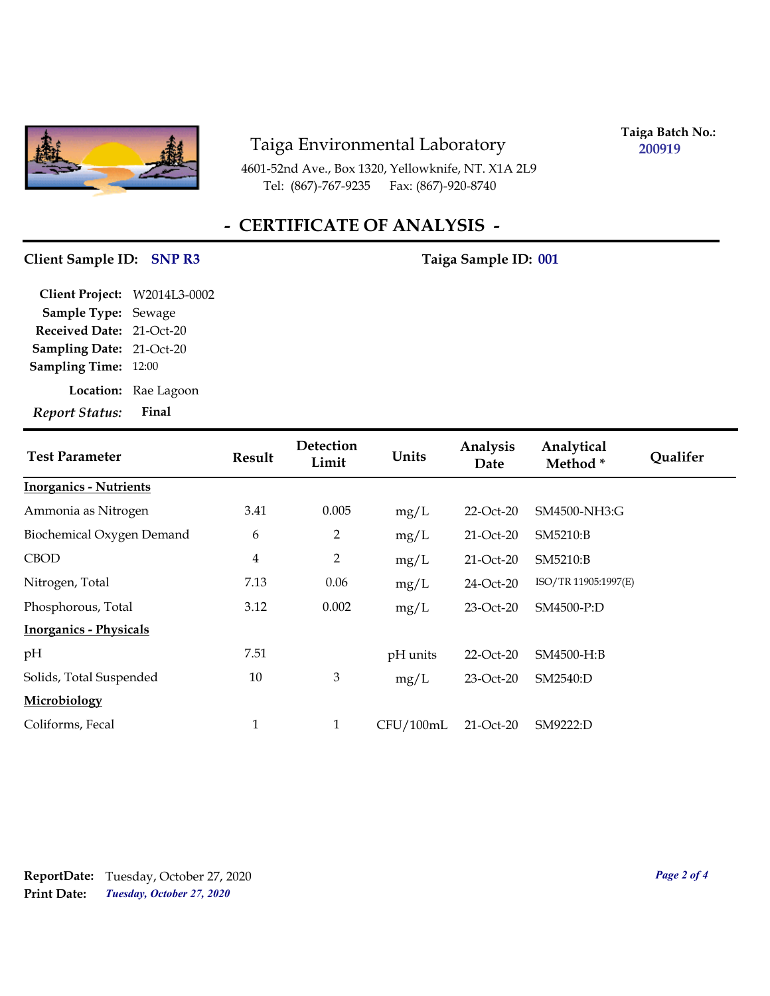

4601-52nd Ave., Box 1320, Yellowknife, NT. X1A 2L9 Tel: (867)-767-9235 Fax: (867)-920-8740

**Taiga Batch No.: 200919**

# **- CERTIFICATE OF ANALYSIS -**

#### Client Sample ID: SNP R3 Taiga Sample ID: 001

| Final                           |
|---------------------------------|
| Location: Rae Lagoon            |
| <b>Sampling Time: 12:00</b>     |
| <b>Sampling Date: 21-Oct-20</b> |
| Received Date: 21-Oct-20        |
| Sample Type: Sewage             |
| Client Project: W2014L3-0002    |
|                                 |

| <b>Test Parameter</b>         | <b>Result</b> | Detection<br>Limit | Units     | Analysis<br>Date | Analytical<br>Method* | <b>Qualifer</b> |
|-------------------------------|---------------|--------------------|-----------|------------------|-----------------------|-----------------|
| <b>Inorganics - Nutrients</b> |               |                    |           |                  |                       |                 |
| Ammonia as Nitrogen           | 3.41          | 0.005              | mg/L      | 22-Oct-20        | SM4500-NH3:G          |                 |
| Biochemical Oxygen Demand     | 6             | $\overline{2}$     | mg/L      | 21-Oct-20        | SM5210:B              |                 |
| <b>CBOD</b>                   | 4             | $\overline{2}$     | mg/L      | 21-Oct-20        | SM5210:B              |                 |
| Nitrogen, Total               | 7.13          | 0.06               | mg/L      | 24-Oct-20        | ISO/TR 11905:1997(E)  |                 |
| Phosphorous, Total            | 3.12          | 0.002              | mg/L      | 23-Oct-20        | SM4500-P:D            |                 |
| <b>Inorganics - Physicals</b> |               |                    |           |                  |                       |                 |
| pH                            | 7.51          |                    | pH units  | 22-Oct-20        | SM4500-H:B            |                 |
| Solids, Total Suspended       | 10            | 3                  | mg/L      | 23-Oct-20        | SM2540:D              |                 |
| Microbiology                  |               |                    |           |                  |                       |                 |
| Coliforms, Fecal              | $\mathbf{1}$  | 1                  | CFU/100mL | $21-Oct-20$      | SM9222:D              |                 |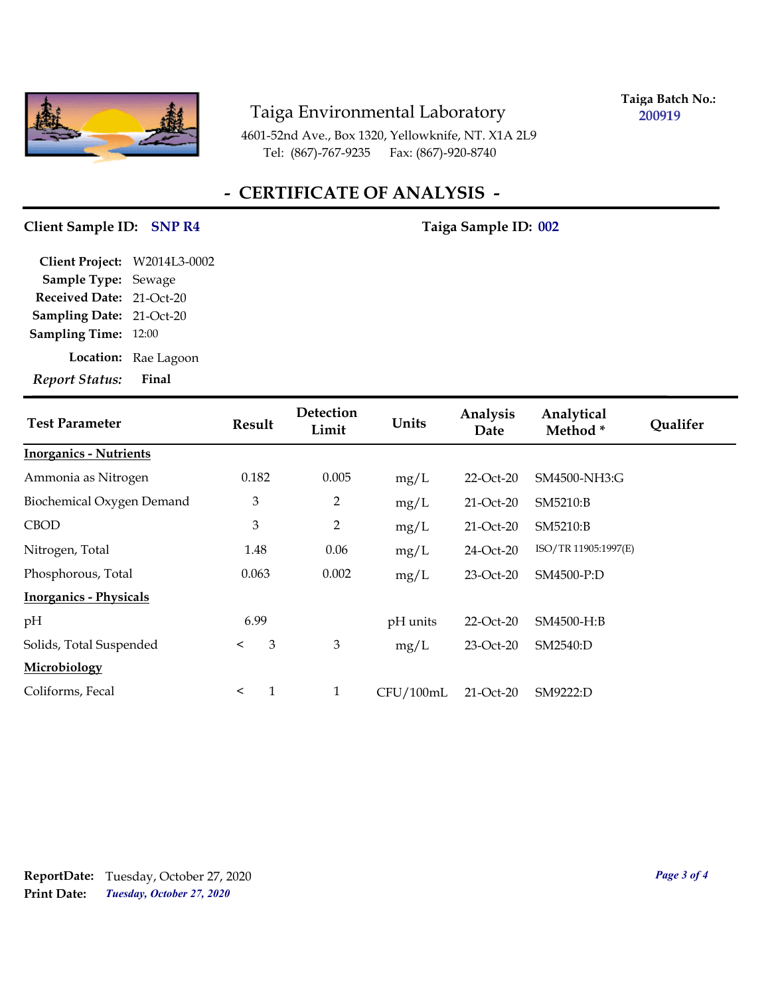

**Taiga Batch No.: 200919**

4601-52nd Ave., Box 1320, Yellowknife, NT. X1A 2L9 Tel: (867)-767-9235 Fax: (867)-920-8740

# **- CERTIFICATE OF ANALYSIS -**

#### Client Sample ID: SNP R4 Taiga Sample ID: 002

| <b>Report Status:</b>        | Final                |
|------------------------------|----------------------|
|                              | Location: Rae Lagoon |
| <b>Sampling Time: 12:00</b>  |                      |
| Sampling Date: 21-Oct-20     |                      |
| Received Date: 21-Oct-20     |                      |
| Sample Type: Sewage          |                      |
| Client Project: W2014L3-0002 |                      |

| <b>Test Parameter</b>         | <b>Result</b>  | Detection<br>Limit | Units     | Analysis<br>Date | Analytical<br>Method* | <b>Qualifer</b> |
|-------------------------------|----------------|--------------------|-----------|------------------|-----------------------|-----------------|
| <b>Inorganics - Nutrients</b> |                |                    |           |                  |                       |                 |
| Ammonia as Nitrogen           | 0.182          | 0.005              | mg/L      | $22$ -Oct- $20$  | SM4500-NH3:G          |                 |
| Biochemical Oxygen Demand     | $\mathfrak{Z}$ | $\overline{2}$     | mg/L      | $21-Oct-20$      | SM5210:B              |                 |
| <b>CBOD</b>                   | $\mathfrak{Z}$ | $\overline{2}$     | mg/L      | $21-Oct-20$      | SM5210:B              |                 |
| Nitrogen, Total               | 1.48           | 0.06               | mg/L      | 24-Oct-20        | ISO/TR 11905:1997(E)  |                 |
| Phosphorous, Total            | 0.063          | 0.002              | mg/L      | $23-Oct-20$      | SM4500-P:D            |                 |
| <b>Inorganics - Physicals</b> |                |                    |           |                  |                       |                 |
| pH                            | 6.99           |                    | pH units  | 22-Oct-20        | SM4500-H:B            |                 |
| Solids, Total Suspended       | 3<br>$\prec$   | 3                  | mg/L      | 23-Oct-20        | SM2540:D              |                 |
| Microbiology                  |                |                    |           |                  |                       |                 |
| Coliforms, Fecal              | 1<br>$\prec$   | $\mathbf{1}$       | CFU/100mL | 21-Oct-20        | SM9222:D              |                 |